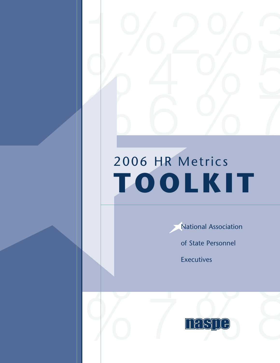# $1000 \text{ R} \cdot \frac{2006 \text{ HR Metrics}}{1000 \text{ L } \cdot \cdot \cdot}$ 2006 HR Metrics **TOOLKIT**

National Association

of State Personnel

**Executives** 

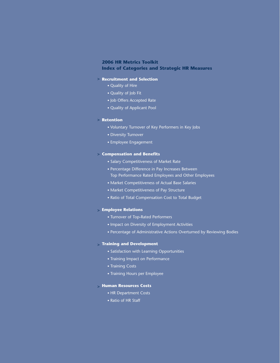# 1 Toolkit<br>
reies and Strategic HR Measures<br>
telection<br>
the state state<br>
read take<br>
were of Key Performers in Key Jobs<br>
er<br>
ernement<br>
remember of Market Rate<br>
remember of Market Rate<br>
remember of Market Rate<br>
remember of Ma **2006 HR Metrics Toolkit Index of Categories and Strategic HR Measures**

## **Recruitment and Selection >**

- Quality of Hire
- Quality of Job Fit
- Job Offers Accepted Rate
- Quality of Applicant Pool

## **Retention >**

- Voluntary Turnover of Key Performers in Key Jobs
- Diversity Turnover
- Employee Engagement

## **Compensation and Benefits >**

- Salary Competitiveness of Market Rate
- Percentage Difference in Pay Increases Between Top Performance Rated Employees and Other Employees
- Market Competitiveness of Actual Base Salaries
- Market Competitiveness of Pay Structure
- Ratio of Total Compensation Cost to Total Budget

## **Employee Relations >**

- Turnover of Top-Rated Performers
- Impact on Diversity of Employment Activities
- Percentage of Administrative Actions Overturned by Reviewing Bodies

# **Training and Development >**

- Satisfaction with Learning Opportunities
- Training Impact on Performance
- Training Costs
- Training Hours per Employee

# **Human Resources Costs >**

- HR Department Costs
- Ratio of HR Staff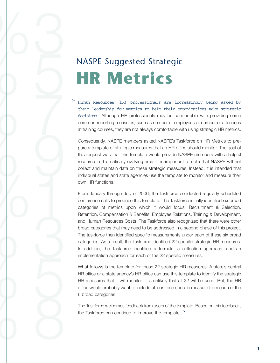# NASPE Suggested Strategic **HR Metrics**

2%3

 $%5$ 

 $%$ 

 $%$ 

 $\zeta$ 

 $%5$ 

 $%$ 

 $67$ 

Human Resources (HR) professionals are increasingly being asked by their leadership for metrics to help their organizations make strategic decisions. Although HR professionals may be comfortable with providing some common reporting measures, such as number of employees or number of attendees at training courses, they are not always comfortable with using strategic HR metrics. **>**

Consequently, NASPE members asked NASPE's Taskforce on HR Metrics to prepare a template of strategic measures that an HR office should monitor. The goal of this request was that this template would provide NASPE members with a helpful resource in this critically evolving area. It is important to note that NASPE will not collect and maintain data on these strategic measures. Instead, it is intended that individual states and state agencies use the template to monitor and measure their own HR functions.

From January through July of 2006, the Taskforce conducted regularly scheduled conference calls to produce this template. The Taskforce initially identified six broad categories of metrics upon which it would focus: Recruitment & Selection, Retention, Compensation & Benefits, Employee Relations, Training & Development, and Human Resources Costs. The Taskforce also recognized that there were other broad categories that may need to be addressed in a second phase of this project. The taskforce then identified specific measurements under each of these six broad categories. As a result, the Taskforce identified 22 specific strategic HR measures. In addition, the Taskforce identified a formula, a collection approach, and an implementation approach for each of the 22 specific measures.

What follows is the template for those 22 strategic HR measures. A state's central HR office or a state agency's HR office can use this template to identify the strategic HR measures that it will monitor. It is unlikely that all 22 will be used. But, the HR office would probably want to include at least one specific measure from each of the 6 broad categories.

The Taskforce welcomes feedback from users of the template. Based on this feedback, the Taskforce can continue to improve the template. **>**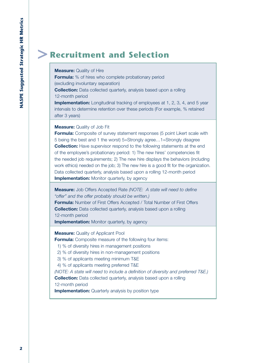# **> Recruitment and Selection**

# **Measure:** Quality of Hire

**Formula:** % of hires who complete probationary period (excluding involuntary separation) **Collection:** Data collected quarterly, analysis based upon a rolling 12-month period

**Implementation:** Longitudinal tracking of employees at 1, 2, 3, 4, and 5 year intervals to determine retention over these periods (For example, % retained after 3 years)

**Measure:** Quality of Job Fit

**Formula:** Composite of survey statement responses (5 point Likert scale with 5 being the best and 1 the worst) 5=Strongly agree…1=Strongly disagree **Collection:** Have supervisor respond to the following statements at the end of the employee's probationary period: 1) The new hires' competencies fit the needed job requirements; 2) The new hire displays the behaviors (including work ethics) needed on the job; 3) The new hire is a good fit for the organization. Data collected quarterly, analysis based upon a rolling 12-month period **Implementation:** Monitor quarterly, by agency

**Measure:** Job Offers Accepted Rate *(NOTE: A state will need to define "offer" and the offer probably should be written.)*

**Formula:** Number of First Offers Accepted / Total Number of First Offers **Collection:** Data collected quarterly, analysis based upon a rolling 12-month period

**Implementation:** Monitor quarterly, by agency

**Measure: Quality of Applicant Pool** 

**Formula:** Composite measure of the following four items:

1) % of diversity hires in management positions

2) % of diversity hires in non-management positions

3) % of applicants meeting minimum T&E

4) % of applicants meeting preferred T&E

*(NOTE: A state will need to include a definition of diversity and preferred T&E.)* **Collection:** Data collected quarterly, analysis based upon a rolling

12-month period

**Implementation:** Quarterly analysis by position type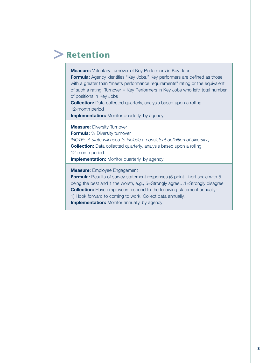# **> Retention**

**Measure:** Voluntary Turnover of Key Performers in Key Jobs **Formula:** Agency identifies "Key Jobs." Key performers are defined as those with a greater than "meets performance requirements" rating or the equivalent of such a rating. Turnover = Key Performers in Key Jobs who left/ total number of positions in Key Jobs

**Collection:** Data collected quarterly, analysis based upon a rolling 12-month period

**Implementation:** Monitor quarterly, by agency

**Measure:** Diversity Turnover

**Formula:** % Diversity turnover *(NOTE: A state will need to include a consistent definition of diversity.)* **Collection:** Data collected quarterly, analysis based upon a rolling 12-month period **Implementation:** Monitor quarterly, by agency

**Measure:** Employee Engagement

**Formula:** Results of survey statement responses (5 point Likert scale with 5 being the best and 1 the worst), e.g., 5=Strongly agree…1=Strongly disagree **Collection:** Have employees respond to the following statement annually: 1) I look forward to coming to work. Collect data annually. **Implementation:** Monitor annually, by agency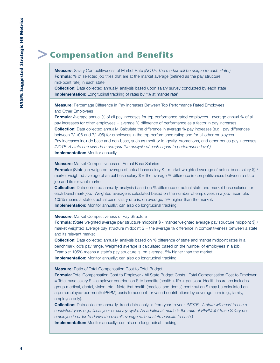# **> Compensation and Benefits**

**Measure:** Salary Competitiveness of Market Rate *(NOTE: The market will be unique to each state.)* **Formula:** % of selected job titles that are at the market average (defined as the pay structure mid-point rate) in each state

**Collection:** Data collected annually, analysis based upon salary survey conducted by each state **Implementation:** Longitudinal tracking of rates by "% at market rate"

**Measure:** Percentage Difference in Pay Increases Between Top Performance Rated Employees and Other Employees

**Formula:** Average annual % of all pay increases for top performance rated employees - average annual % of all pay increases for other employees = average % difference of performance as a factor in pay increases **Collection:** Data collected annually. Calculate the difference in average % pay increases (e.g., pay differences between 7/1/06 and 7/1/05) for employees in the top performance rating and for all other employees. Pay increases include base and non-base, such as merit or longevity, promotions, and other bonus pay increases. *(NOTE: A state can also do a comparative analysis of each separate performance level.)* **Implementation:** Monitor annually

**Measure:** Market Competitiveness of Actual Base Salaries

**Formula:** (State job weighted average of actual base salary \$ - market weighted average of actual base salary \$) / market weighted average of actual base salary  $$ =$  the average % difference in competitiveness between a state job and its relevant market

**Collection:** Data collected annually, analysis based on % difference of actual state and market base salaries for each benchmark job. Weighted average is calculated based on the number of employees in a job. Example: 105% means a state's actual base salary rate is, on average, 5% higher than the market. **Implementation:** Monitor annually; can also do longitudinal tracking.

**Measure:** Market Competitiveness of Pay Structure

**Formula:** (State weighted average pay structure midpoint \$ - market weighted average pay structure midpoint \$) / market weighted average pay structure midpoint \$ = the average % difference in competitiveness between a state and its relevant market

**Collection:** Data collected annually, analysis based on % difference of state and market midpoint rates in a benchmark job's pay range. Weighted average is calculated based on the number of employees in a job. Example: 105% means a state's pay structure is, on average, 5% higher than the market. **Implementation:** Monitor annually; can also do longitudinal tracking

**Measure:** Ratio of Total Compensation Cost to Total Budget

**Formula:** Total Compensation Cost to Employer / All State Budget Costs. Total Compensation Cost to Employer = Total base salary \$ + employer contribution \$ to benefits (health + life + pension). Health insurance includes group medical, dental, vision, etc. Note that health (medical and dental) contribution \$ may be calculated on a per-employee-per-month (PEPM) basis to account for varied contributions by coverage tiers (e.g., family, employee only).

**Collection:** Data collected annually, trend data analysis from year to year. *(NOTE: A state will need to use a consistent year, e.g., fiscal year or survey cycle. An additional metric is the ratio of PEPM \$ / Base Salary per employee in order to derive the overall average ratio of state benefits to cash.)* **Implementation:** Monitor annually; can also do longitudinal tracking.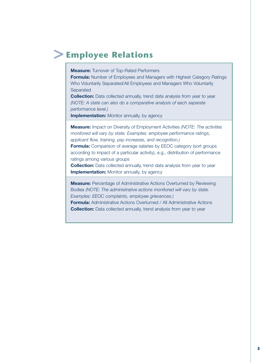# **>Employee Relations**

**Measure:** Turnover of Top-Rated Performers

**Formula:** Number of Employees and Managers with Highest Category Ratings Who Voluntarily Separated/All Employees and Managers Who Voluntarily **Separated** 

**Collection:** Data collected annually, trend data analysis from year to year *(NOTE: A state can also do a comparative analysis of each separate performance level.)*

**Implementation:** Monitor annually, by agency

**Measure:** Impact on Diversity of Employment Activities *(NOTE: The activities monitored will vary by state. Examples: employee performance ratings, applicant flow, training, pay increases, and recognition.)*

**Formula:** Comparison of average salaries by EEOC category (sort groups according to impact of a particular activity), e.g., distribution of performance ratings among various groups

**Collection:** Data collected annually, trend data analysis from year to year **Implementation:** Monitor annually, by agency

**Measure:** Percentage of Administrative Actions Overturned by Reviewing Bodies *(NOTE: The administrative actions monitored will vary by state. Examples: EEOC complaints, employee grievances.)* **Formula:** Administrative Actions Overturned / All Administrative Actions **Collection:** Data collected annually, trend analysis from year to year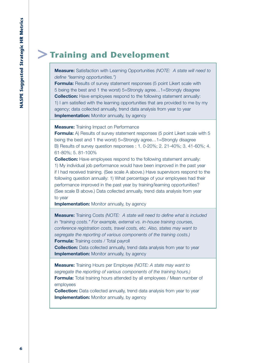# **> Training and Development**

**Measure:** Satisfaction with Learning Opportunities *(NOTE: A state will need to define "learning opportunities.")*

**Formula:** Results of survey statement responses (5 point Likert scale with 5 being the best and 1 the worst) 5=Strongly agree…1=Strongly disagree **Collection:** Have employees respond to the following statement annually: 1) I am satisfied with the learning opportunities that are provided to me by my agency; data collected annually, trend data analysis from year to year **Implementation:** Monitor annually, by agency

**Measure:** Training Impact on Performance

**Formula:** A) Results of survey statement responses (5 point Likert scale with 5 being the best and 1 the worst) 5=Strongly agree…1=Strongly disagree B) Results of survey question responses : 1. 0-20%; 2. 21-40%; 3. 41-60%; 4. 61-80%; 5. 81-100%

**Collection:** Have employees respond to the following statement annually: 1) My individual job performance would have been improved in the past year if I had received training. (See scale A above.) Have supervisors respond to the following question annually: 1) What percentage of your employees had their performance improved in the past year by training/learning opportunities? (See scale B above.) Data collected annually, trend data analysis from year to year

**Implementation:** Monitor annually, by agency

**Measure:** Training Costs *(NOTE: A state will need to define what is included in "training costs." For example, external vs. in-house training courses, conference registration costs, travel costs, etc. Also, states may want to segregate the reporting of various components of the training costs.)* **Formula:** Training costs / Total payroll

**Collection:** Data collected annually, trend data analysis from year to year **Implementation:** Monitor annually, by agency

**Measure:** Training Hours per Employee *(NOTE: A state may want to segregate the reporting of various components of the training hours.)* **Formula:** Total training hours attended by all employees / Mean number of employees

**Collection:** Data collected annually, trend data analysis from year to year **Implementation:** Monitor annually, by agency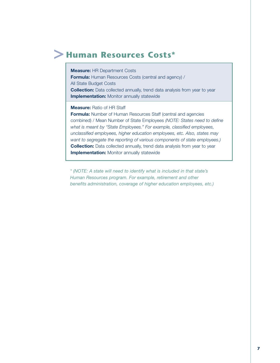# **> Human Resources Costs\***

**Measure:** HR Department Costs

**Formula:** Human Resources Costs (central and agency) / All State Budget Costs **Collection:** Data collected annually, trend data analysis from year to year **Implementation:** Monitor annually statewide

**Measure:** Ratio of HR Staff

**Formula:** Number of Human Resources Staff (central and agencies combined) / Mean Number of State Employees *(NOTE: States need to define what is meant by "State Employees." For example, classified employees, unclassified employees, higher education employees, etc. Also, states may want to segregate the reporting of various components of state employees.)* **Collection:** Data collected annually, trend data analysis from year to year **Implementation:** Monitor annually statewide

*\* (NOTE: A state will need to identify what is included in that state's Human Resources program. For example, retirement and other benefits administration, coverage of higher education employees, etc.)*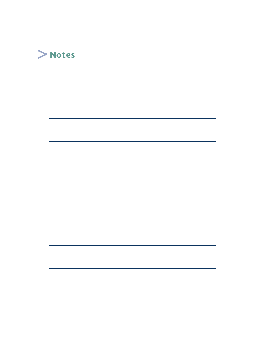

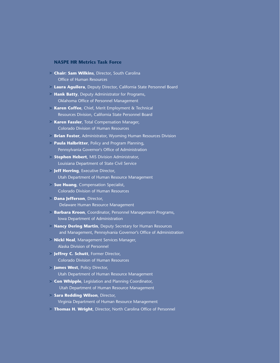# **NASPE HR Metrics Task Force**

- **Chair: Sam Wilkins**, Director, South Carolina **>** Office of Human Resources
- **Laura Aguilera**, Deputy Director, California State Personnel Board **>**
- **Hank Batty**, Deputy Administrator for Programs, **>** Oklahoma Office of Personnel Management
- **Karen Coffee**, Chief, Merit Employment & Technical **>** Resources Division, California State Personnel Board
- **Karen Fassler**, Total Compensation Manager, **>** Colorado Division of Human Resources
- **Brian Foster**, Administrator, Wyoming Human Resources Division **>**
- **Paula Halbritter**, Policy and Program Planning, **>** Pennsylvania Governor's Office of Administration
- **Stephen Hebert**, MIS Division Administrator, **>** Louisiana Department of State Civil Service
- **Jeff Herring**, Executive Director, **>** Utah Department of Human Resource Management
- **Sue Huang**, Compensation Specialist, **>** Colorado Division of Human Resources
- **Dana Jefferson**, Director, **>** Delaware Human Resource Management
- **Barbara Kroon**, Coordinator, Personnel Management Programs, **>** Iowa Department of Administration
- **Nancy Dering Martin**, Deputy Secretary for Human Resources **>** and Management, Pennsylvania Governor's Office of Administration
- **Nicki Neal**, Management Services Manager, **>** Alaska Division of Personnel
- **Jeffrey C. Schutt**, Former Director, **>** Colorado Division of Human Resources
- **James West**, Policy Director, **>** Utah Department of Human Resource Management
- **Con Whipple**, Legislation and Planning Coordinator, **>** Utah Department of Human Resource Management
- **Sara Redding Wilson**, Director, **>** Virginia Department of Human Resource Management
- **Thomas H. Wright**, Director, North Carolina Office of Personnel **>**